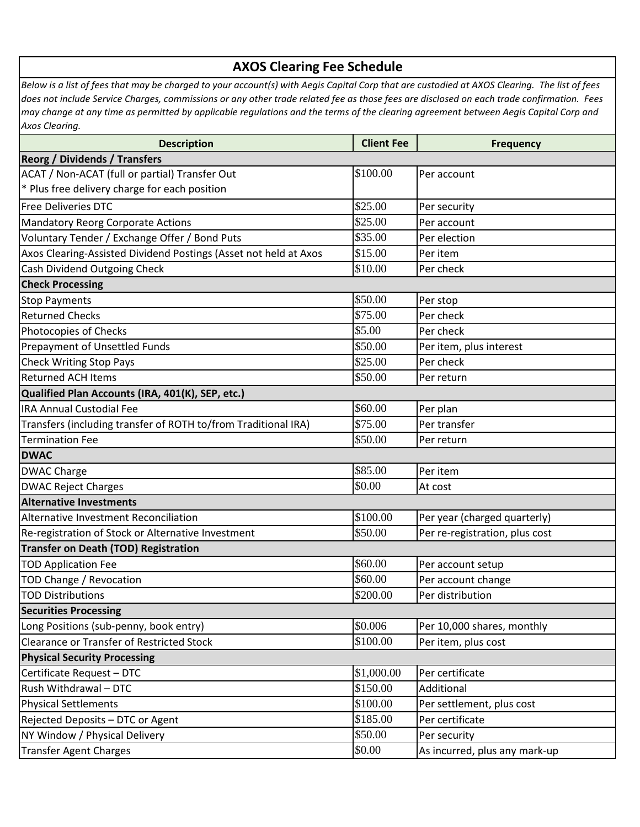## **AXOS Clearing Fee Schedule**

*Below is a list of fees that may be charged to your account(s) with Aegis Capital Corp that are custodied at AXOS Clearing. The list of fees does not include Service Charges, commissions or any other trade related fee as those fees are disclosed on each trade confirmation. Fees may change at any time as permitted by applicable regulations and the terms of the clearing agreement between Aegis Capital Corp and Axos Clearing.*

| <b>Description</b>                                               | <b>Client Fee</b> | <b>Frequency</b>               |  |
|------------------------------------------------------------------|-------------------|--------------------------------|--|
| <b>Reorg / Dividends / Transfers</b>                             |                   |                                |  |
| ACAT / Non-ACAT (full or partial) Transfer Out                   | \$100.00          | Per account                    |  |
| * Plus free delivery charge for each position                    |                   |                                |  |
| <b>Free Deliveries DTC</b>                                       | \$25.00           | Per security                   |  |
| Mandatory Reorg Corporate Actions                                | \$25.00           | Per account                    |  |
| Voluntary Tender / Exchange Offer / Bond Puts                    | \$35.00           | Per election                   |  |
| Axos Clearing-Assisted Dividend Postings (Asset not held at Axos | \$15.00           | Per item                       |  |
| Cash Dividend Outgoing Check                                     | \$10.00           | Per check                      |  |
| <b>Check Processing</b>                                          |                   |                                |  |
| <b>Stop Payments</b>                                             | \$50.00           | Per stop                       |  |
| <b>Returned Checks</b>                                           | \$75.00           | Per check                      |  |
| Photocopies of Checks                                            | \$5.00            | Per check                      |  |
| Prepayment of Unsettled Funds                                    | \$50.00           | Per item, plus interest        |  |
| <b>Check Writing Stop Pays</b>                                   | \$25.00           | Per check                      |  |
| <b>Returned ACH Items</b>                                        | \$50.00           | Per return                     |  |
| Qualified Plan Accounts (IRA, 401(K), SEP, etc.)                 |                   |                                |  |
| <b>IRA Annual Custodial Fee</b>                                  | \$60.00           | Per plan                       |  |
| Transfers (including transfer of ROTH to/from Traditional IRA)   | \$75.00           | Per transfer                   |  |
| <b>Termination Fee</b>                                           | \$50.00           | Per return                     |  |
| <b>DWAC</b>                                                      |                   |                                |  |
| <b>DWAC Charge</b>                                               | \$85.00           | Per item                       |  |
| <b>DWAC Reject Charges</b>                                       | \$0.00            | At cost                        |  |
| <b>Alternative Investments</b>                                   |                   |                                |  |
| Alternative Investment Reconciliation                            | \$100.00          | Per year (charged quarterly)   |  |
| Re-registration of Stock or Alternative Investment               | \$50.00           | Per re-registration, plus cost |  |
| <b>Transfer on Death (TOD) Registration</b>                      |                   |                                |  |
| <b>TOD Application Fee</b>                                       | \$60.00           | Per account setup              |  |
| TOD Change / Revocation                                          | \$60.00           | Per account change             |  |
| <b>TOD Distributions</b>                                         | \$200.00          | Per distribution               |  |
| <b>Securities Processing</b>                                     |                   |                                |  |
| Long Positions (sub-penny, book entry)                           | \$0.006           | Per 10,000 shares, monthly     |  |
| <b>Clearance or Transfer of Restricted Stock</b>                 | \$100.00          | Per item, plus cost            |  |
| <b>Physical Security Processing</b>                              |                   |                                |  |
| Certificate Request - DTC                                        | \$1,000.00        | Per certificate                |  |
| Rush Withdrawal - DTC                                            | \$150.00          | Additional                     |  |
| <b>Physical Settlements</b>                                      | \$100.00          | Per settlement, plus cost      |  |
| Rejected Deposits - DTC or Agent                                 | \$185.00          | Per certificate                |  |
| NY Window / Physical Delivery                                    | \$50.00           | Per security                   |  |
| Transfer Agent Charges                                           | \$0.00            | As incurred, plus any mark-up  |  |
|                                                                  |                   |                                |  |